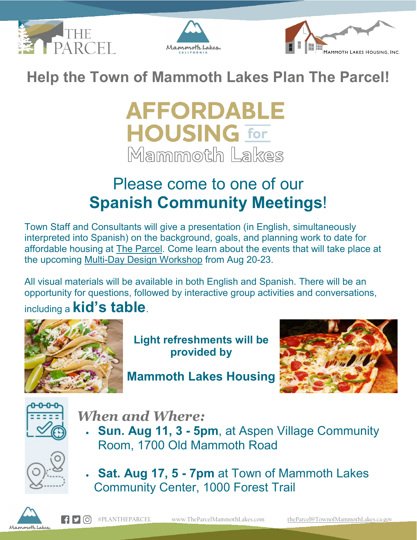





**Help the Town of Mammoth Lakes Plan The Parcel!**

# **AFFORDABLE HOUSING for** Mammoth Lakes

### Please come to one of our **Spanish Community Meetings**!

Town Staff and Consultants will give a presentation (in English, simultaneously interpreted into Spanish) on the background, goals, and planning work to date for affordable housing at [The Parcel.](http://r20.rs6.net/tn.jsp?f=00192qS6Q4x4Q5Qr85NeEHtIlYTWWOGq1CRGkICinAu1Z6sCjleghOAgUunJBlLepqpSuuPcR1OeOiUDIjoN2PmUCFupdLr9kDYOWeRaU1sQRJs9naD7aTqvjsxxUF__0hxg96ZvzNfU0TwSpnzpnq3FLrXhrqE3P2h&c=rzM0OFQLJA8zZ5JigQOBKHXS3MqeFFgE5-ioQLOO0oroYe4xFeD5Jw==&ch=Cu9qhY5O_nM6mq0lFtdGJwzL2ZORop68TOjNva5KcpSfu2trlSmdCw==) Come learn about the events that will take place at the upcoming [Multi-Day Design Workshop](http://r20.rs6.net/tn.jsp?f=00192qS6Q4x4Q5Qr85NeEHtIlYTWWOGq1CRGkICinAu1Z6sCjleghOAgdGWJN1vPG0Rht3hDqc2Py2wpsV_p42tTwZMIK3SxdOJdMJw4dMn0JwaXLwETu7r8bDtnY8auoFCGHE5jvEN3j2OBKpZM4L__ofVMEKNCZLZbAkm7ZmCILF4xhIhPfmvCRQ79P-pWhMbZk86U9jAnhg7-BY6XdVuDVktG9UsdgXD_AMFSyT1p3aadAQGjFaqicwDTERIqizeHTyuOmlMvOWvJvjoX8VZLw==&c=rzM0OFQLJA8zZ5JigQOBKHXS3MqeFFgE5-ioQLOO0oroYe4xFeD5Jw==&ch=Cu9qhY5O_nM6mq0lFtdGJwzL2ZORop68TOjNva5KcpSfu2trlSmdCw==) from Aug 20-23.

All visual materials will be available in both English and Spanish. There will be an opportunity for questions, followed by interactive group activities and conversations,

including a **kid's table**.



**Light refreshments will be provided by**

**Mammoth Lakes Housing**





*When and Where:*

• **Sun. Aug 11, 3 - 5pm**, at Aspen Village Community Room, 1700 Old Mammoth Road



• **Sat. Aug 17, 5 - 7pm** at Town of Mammoth Lakes Community Center, 1000 Forest Trail